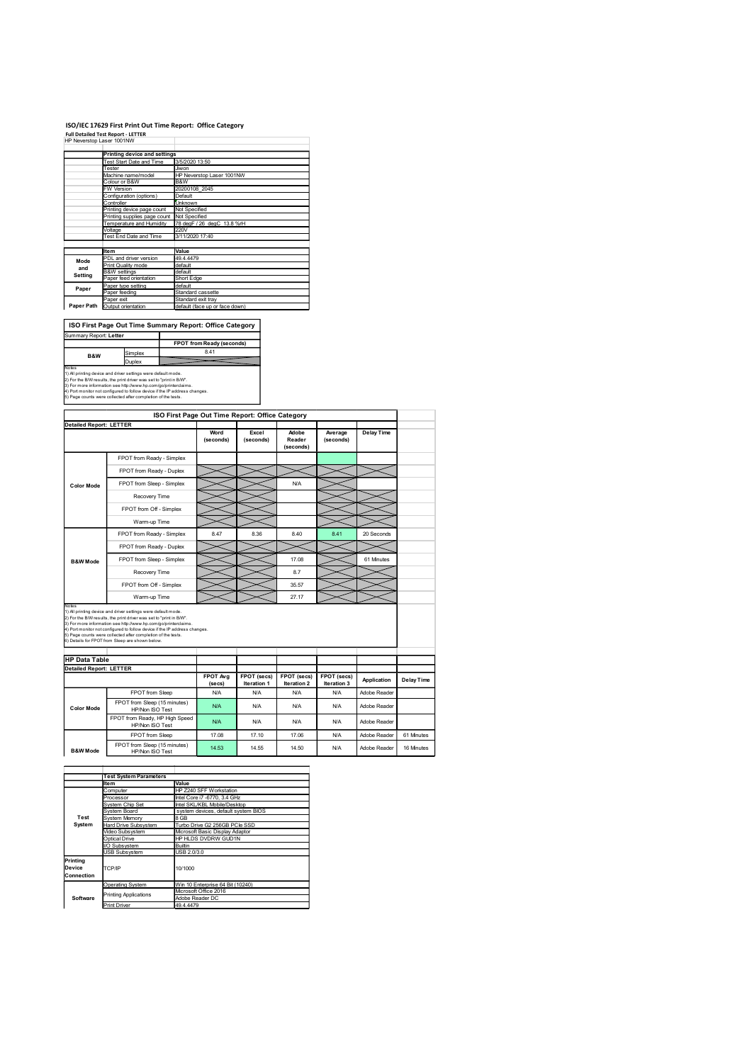#### ISO/IEC 17629 First Print Out Time Report: Office Category

|                                 |                                                                        | ISO/IEC 17629 First Print Out Time Report: Office Category |
|---------------------------------|------------------------------------------------------------------------|------------------------------------------------------------|
|                                 | <b>Full Detailed Test Report - LETTER</b><br>HP Neverstop Laser 1001NW |                                                            |
|                                 |                                                                        |                                                            |
|                                 | Printing device and settings<br>Test Start Date and Time               | 3/5/2020 13:50                                             |
|                                 | Tester                                                                 | Jiwon                                                      |
|                                 | Machine name/model<br>Colour or B&W                                    | HP Neverstop Laser 1001NW<br><b>B&amp;W</b>                |
|                                 | FW Version                                                             | 20200108_2045                                              |
|                                 |                                                                        |                                                            |
|                                 | Configuration (options)                                                | Default                                                    |
|                                 | Controller<br>Printing device page count                               | Unknown<br>Not Specified                                   |
|                                 | Printing supplies page count                                           | Not Specified                                              |
|                                 | Temperature and Humidity<br>Voltage                                    | 78 degF / 26 degC 13.8 %rH<br>220V                         |
|                                 | Test End Date and Time                                                 | 3/11/2020 17:40                                            |
|                                 | Item                                                                   | Value                                                      |
| Mode                            | PDL and driver version                                                 | 49.4.4479                                                  |
| and                             | Print Quality mode<br><b>B&amp;W</b> settings                          | default<br>default                                         |
| Setting                         | Paper feed orientation                                                 | Short Edge                                                 |
| Paper                           | Paper type setting<br>Paper feeding                                    | default<br>Standard cassette                               |
|                                 | Paper exit                                                             | Standard exit tray                                         |
|                                 | Paper Path Output orientation                                          | default (face up or face down)                             |
|                                 |                                                                        |                                                            |
|                                 |                                                                        | ISO First Page Out Time Summary Report: Office Category    |
|                                 |                                                                        | FPOT from Ready (seconds)                                  |
| B&W                             | Simplex                                                                | 8.41                                                       |
| Summary Report: Letter<br>Notes | Duplex                                                                 |                                                            |

|                                                        | <b>Printing device and settings</b>                                                                                                                                                                           |                              |                                                              |                                   |                            |                            |              |                   |
|--------------------------------------------------------|---------------------------------------------------------------------------------------------------------------------------------------------------------------------------------------------------------------|------------------------------|--------------------------------------------------------------|-----------------------------------|----------------------------|----------------------------|--------------|-------------------|
|                                                        | Test Start Date and Time<br>3/5/2020 13:50<br>Jiwon<br>Tester                                                                                                                                                 |                              |                                                              |                                   |                            |                            |              |                   |
|                                                        | Machine name/model<br>HP Neverstop Laser 1001NW<br>Colour or B&W<br>B&W                                                                                                                                       |                              |                                                              |                                   |                            |                            |              |                   |
|                                                        | FW Version<br>20200108_2045<br>Configuration (options)<br>Default                                                                                                                                             |                              |                                                              |                                   |                            |                            |              |                   |
|                                                        | Controller<br><b>Unknown</b><br>Not Specified                                                                                                                                                                 |                              |                                                              |                                   |                            |                            |              |                   |
|                                                        | Printing device page count<br>Printing supplies page count Not Specified                                                                                                                                      |                              |                                                              |                                   |                            |                            |              |                   |
|                                                        | 78 degF / 26 degC 13.8 %rH<br>Temperature and Humidity<br>Voltage<br>220V                                                                                                                                     |                              |                                                              |                                   |                            |                            |              |                   |
|                                                        | Test End Date and Time                                                                                                                                                                                        | 3/11/2020 17:40              |                                                              |                                   |                            |                            |              |                   |
|                                                        | Item<br>PDL and driver version                                                                                                                                                                                | Value<br>49.4.4479           |                                                              |                                   |                            |                            |              |                   |
| Mode<br>and                                            | Print Quality mode                                                                                                                                                                                            | default                      |                                                              |                                   |                            |                            |              |                   |
| Setting                                                | <b>B&amp;W</b> settings<br>Paper feed orientation                                                                                                                                                             | default<br>Short Edge        |                                                              |                                   |                            |                            |              |                   |
| Paper                                                  | Paper type setting<br>Paper feeding                                                                                                                                                                           | default<br>Standard cassette |                                                              |                                   |                            |                            |              |                   |
| Paper Path                                             | Paper exit<br>Output orientation                                                                                                                                                                              | Standard exit tray           | default (face up or face down)                               |                                   |                            |                            |              |                   |
|                                                        |                                                                                                                                                                                                               |                              |                                                              |                                   |                            |                            |              |                   |
|                                                        | ISO First Page Out Time Summary Report: Office Category                                                                                                                                                       |                              |                                                              |                                   |                            |                            |              |                   |
| Summary Report: Letter                                 |                                                                                                                                                                                                               |                              |                                                              |                                   |                            |                            |              |                   |
|                                                        | Simplex                                                                                                                                                                                                       |                              | FPOT from Ready (seconds)<br>8.41                            |                                   |                            |                            |              |                   |
| B&W                                                    | Duplex                                                                                                                                                                                                        |                              |                                                              |                                   |                            |                            |              |                   |
| Votes                                                  | ) All printing device and driver settings were default mode.<br>2) For the B/W results, the print driver was set to "print in B/W".                                                                           |                              |                                                              |                                   |                            |                            |              |                   |
|                                                        | 3) For more information see http://www.hp.com/go/printerclaims.<br>4) Port monitor not configured to follow device if the IP address changes.                                                                 |                              |                                                              |                                   |                            |                            |              |                   |
|                                                        | 5) Page counts were collected after completion of the tests.                                                                                                                                                  |                              |                                                              |                                   |                            |                            |              |                   |
|                                                        |                                                                                                                                                                                                               |                              | ISO First Page Out Time Report: Office Category              |                                   |                            |                            |              |                   |
| <b>Detailed Report: LETTER</b>                         |                                                                                                                                                                                                               |                              |                                                              |                                   |                            |                            |              |                   |
|                                                        |                                                                                                                                                                                                               |                              | Word<br>(seconds)                                            | Excel<br>(seconds)                | Adobe<br>Reader            | Average<br>(seconds)       | Delay Time   |                   |
|                                                        |                                                                                                                                                                                                               |                              |                                                              |                                   | (seconds)                  |                            |              |                   |
|                                                        | FPOT from Ready - Simplex                                                                                                                                                                                     |                              |                                                              |                                   |                            |                            |              |                   |
|                                                        | FPOT from Ready - Duplex                                                                                                                                                                                      |                              |                                                              |                                   |                            |                            |              |                   |
| <b>Color Mode</b>                                      | FPOT from Sleep - Simplex                                                                                                                                                                                     |                              |                                                              |                                   | <b>N/A</b>                 |                            |              |                   |
|                                                        | Recovery Time                                                                                                                                                                                                 |                              |                                                              |                                   |                            |                            |              |                   |
|                                                        | FPOT from Off - Simplex                                                                                                                                                                                       |                              |                                                              |                                   |                            |                            |              |                   |
|                                                        | Warm-up Time                                                                                                                                                                                                  |                              |                                                              |                                   |                            |                            |              |                   |
|                                                        | FPOT from Ready - Simplex                                                                                                                                                                                     |                              | 8.47                                                         | 8.36                              | 8.40                       | 8.41                       | 20 Seconds   |                   |
|                                                        | FPOT from Ready - Duplex                                                                                                                                                                                      |                              |                                                              |                                   |                            |                            |              |                   |
|                                                        | FPOT from Sleep - Simplex                                                                                                                                                                                     |                              |                                                              |                                   | 17.08                      |                            | 61 Minutes   |                   |
| <b>B&amp;W Mode</b>                                    | Recovery Time                                                                                                                                                                                                 |                              |                                                              |                                   | 8.7                        |                            |              |                   |
|                                                        |                                                                                                                                                                                                               |                              |                                                              |                                   |                            |                            |              |                   |
|                                                        | FPOT from Off - Simplex<br>Warm-up Time                                                                                                                                                                       |                              |                                                              |                                   | 35.57<br>27.17             |                            |              |                   |
| Notes                                                  |                                                                                                                                                                                                               |                              |                                                              |                                   |                            |                            |              |                   |
|                                                        | ) All printing device and driver settings were default mode.<br>2) For the B/W results, the print driver was set to "print in B/W".                                                                           |                              |                                                              |                                   |                            |                            |              |                   |
|                                                        | 3) For more information see http://www.hp.com/go/printerclaims.<br>1) Port monitor not configured to follow device if the IP address changes.<br>5) Page counts were collected after completion of the tests. |                              |                                                              |                                   |                            |                            |              |                   |
|                                                        | 6) Details for FPOT from Sleep are shown below.                                                                                                                                                               |                              |                                                              |                                   |                            |                            |              |                   |
|                                                        |                                                                                                                                                                                                               |                              |                                                              |                                   |                            |                            |              |                   |
| <b>HP Data Table</b><br><b>Detailed Report: LETTER</b> |                                                                                                                                                                                                               |                              |                                                              |                                   |                            |                            |              |                   |
|                                                        |                                                                                                                                                                                                               |                              | FPOT Avg<br>(secs)                                           | FPOT (secs)<br><b>Iteration 1</b> | FPOT (secs)<br>Iteration 2 | FPOT (secs)<br>Iteration 3 | Application  | <b>Delay Time</b> |
|                                                        | FPOT from Sleep                                                                                                                                                                                               |                              | <b>N/A</b>                                                   | <b>N/A</b>                        | <b>N/A</b>                 | <b>N/A</b>                 | Adobe Reader |                   |
| <b>Color Mode</b>                                      | FPOT from Sleep (15 minutes)                                                                                                                                                                                  |                              | N/A                                                          | <b>N/A</b>                        | <b>N/A</b>                 | <b>N/A</b>                 | Adobe Reader |                   |
|                                                        | HP/Non ISO Test<br>FPO I from Ready, HP High Speed                                                                                                                                                            |                              |                                                              |                                   |                            |                            |              |                   |
|                                                        | HP/Non ISO Test                                                                                                                                                                                               |                              | <b>N/A</b>                                                   | <b>N/A</b>                        | N/A                        | <b>N/A</b>                 | Adobe Reader |                   |
|                                                        | FPOT from Sleep<br>FPOT from Sleep (15 minutes)                                                                                                                                                               |                              | 17.08                                                        | 17.10                             | 17.06                      | <b>N/A</b>                 | Adobe Reader | 61 Minutes        |
| <b>B&amp;W</b> Mode                                    | HP/Non ISO Test                                                                                                                                                                                               |                              | 14.53                                                        | 14.55                             | 14.50                      | <b>N/A</b>                 | Adobe Reader | 16 Minutes        |
|                                                        |                                                                                                                                                                                                               |                              |                                                              |                                   |                            |                            |              |                   |
|                                                        | <b>Test System Parameters</b>                                                                                                                                                                                 |                              |                                                              |                                   |                            |                            |              |                   |
|                                                        | Item<br>Computer                                                                                                                                                                                              | Value                        | HP Z240 SFF Workstation                                      |                                   |                            |                            |              |                   |
|                                                        | Processor                                                                                                                                                                                                     |                              | Intel Core i7 -6770, 3.4 GHz<br>Intel SKL/KBL Mobile/Desktop |                                   |                            |                            |              |                   |
|                                                        | System Chip Set<br>System Board                                                                                                                                                                               |                              | system devices, default system BIOS                          |                                   |                            |                            |              |                   |
| Test<br>System                                         | System Memory<br>Hard Drive Subsystem                                                                                                                                                                         | 8 GB                         | Turbo Drive G2 256GB PCIe SSD                                |                                   |                            |                            |              |                   |
|                                                        | Video Subsystem<br>Optical Drive                                                                                                                                                                              |                              | Microsoft Basic Display Adaptor<br>HP HLDS DVDRW GUD1N       |                                   |                            |                            |              |                   |
|                                                        | I/O Subsystem                                                                                                                                                                                                 | Builtin                      |                                                              |                                   |                            |                            |              |                   |
| Printing                                               | <b>USB Subsystem</b>                                                                                                                                                                                          | USB 2.0/3.0                  |                                                              |                                   |                            |                            |              |                   |
| Device<br>Connection                                   | TCP/IP                                                                                                                                                                                                        | 10/1000                      |                                                              |                                   |                            |                            |              |                   |
|                                                        | <b>Operating System</b>                                                                                                                                                                                       |                              | Win 10 Enterprise 64 Bit (10240)                             |                                   |                            |                            |              |                   |
| Software                                               | Printing Applications                                                                                                                                                                                         | Adobe Reader DC              | Microsoft Office 2016                                        |                                   |                            |                            |              |                   |
|                                                        | <b>Print Driver</b>                                                                                                                                                                                           | 49.4.4479                    |                                                              |                                   |                            |                            |              |                   |
|                                                        |                                                                                                                                                                                                               |                              |                                                              |                                   |                            |                            |              |                   |
|                                                        |                                                                                                                                                                                                               |                              |                                                              |                                   |                            |                            |              |                   |
|                                                        |                                                                                                                                                                                                               |                              |                                                              |                                   |                            |                            |              |                   |
|                                                        |                                                                                                                                                                                                               |                              |                                                              |                                   |                            |                            |              |                   |
|                                                        |                                                                                                                                                                                                               |                              |                                                              |                                   |                            |                            |              |                   |
|                                                        |                                                                                                                                                                                                               |                              |                                                              |                                   |                            |                            |              |                   |
|                                                        |                                                                                                                                                                                                               |                              |                                                              |                                   |                            |                            |              |                   |

|                                  | <b>Test System Parameters</b> |                                     |  |  |  |  |
|----------------------------------|-------------------------------|-------------------------------------|--|--|--|--|
|                                  | Item                          | Value                               |  |  |  |  |
|                                  | Computer                      | HP Z240 SFF Workstation             |  |  |  |  |
|                                  | Processor                     | Intel Core i7 -6770, 3.4 GHz        |  |  |  |  |
|                                  | System Chip Set               | Intel SKL/KBL Mobile/Desktop        |  |  |  |  |
|                                  | System Board                  | system devices, default system BIOS |  |  |  |  |
| Test                             | System Memory                 | 8 GB                                |  |  |  |  |
| System                           | Hard Drive Subsystem          | Turbo Drive G2 256GB PCIe SSD       |  |  |  |  |
|                                  | Video Subsystem               | Microsoft Basic Display Adaptor     |  |  |  |  |
|                                  | Optical Drive                 | HP HLDS DVDRW GUD1N                 |  |  |  |  |
|                                  | I/O Subsystem                 | Builtin                             |  |  |  |  |
|                                  | <b>USB Subsystem</b>          | USB 2.0/3.0                         |  |  |  |  |
| Printing<br>Device<br>Connection | TCP/IP                        | 10/1000                             |  |  |  |  |
|                                  | Operating System              | Win 10 Enterprise 64 Bit (10240)    |  |  |  |  |
|                                  | <b>Printing Applications</b>  | Microsoft Office 2016               |  |  |  |  |
| Software                         |                               | Adobe Reader DC                     |  |  |  |  |
|                                  | <b>Print Driver</b>           | 49.4.4479                           |  |  |  |  |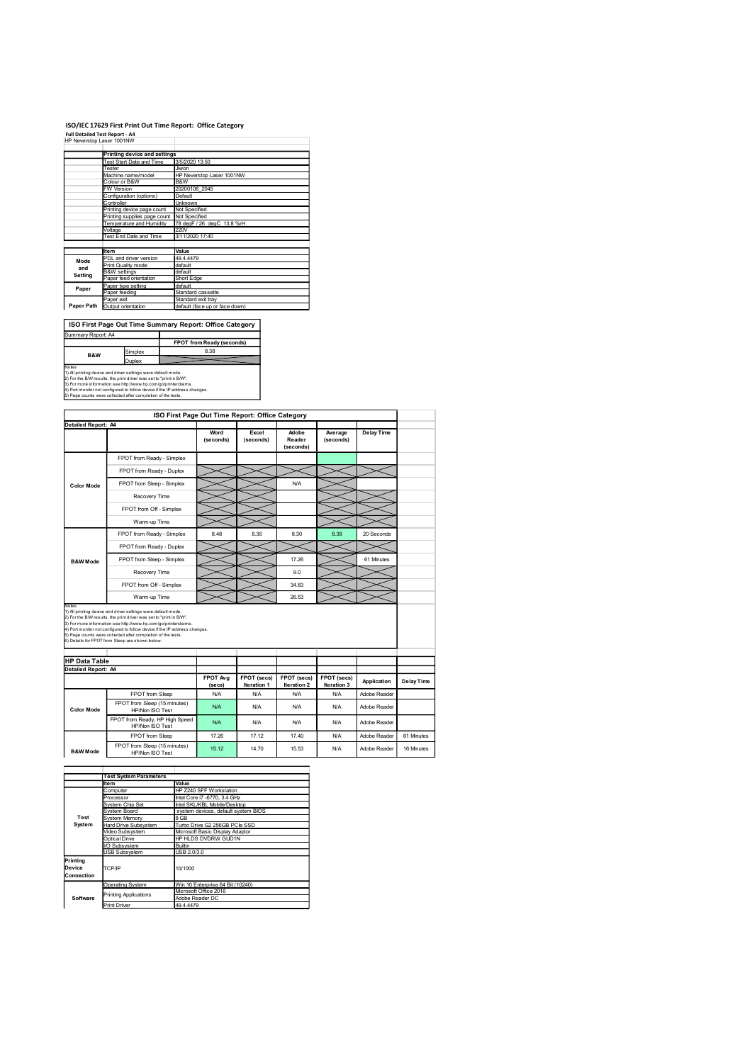#### ISO/IEC 17629 First Print Out Time Report: Office Category

|                    |                                                                                                                                                                                                        | ISO/IEC 17629 First Print Out Time Report: Office Category |
|--------------------|--------------------------------------------------------------------------------------------------------------------------------------------------------------------------------------------------------|------------------------------------------------------------|
|                    | <b>Full Detailed Test Report - A4</b>                                                                                                                                                                  |                                                            |
|                    | HP Neverstop Laser 1001NW                                                                                                                                                                              |                                                            |
|                    | Printing device and settings                                                                                                                                                                           |                                                            |
|                    | Test Start Date and Time                                                                                                                                                                               | 3/5/2020 13:50                                             |
|                    | Tester                                                                                                                                                                                                 | Jiwon<br>HP Neverstop Laser 1001NW                         |
|                    | Machine name/model<br>Colour or B&W                                                                                                                                                                    | <b>B&amp;W</b>                                             |
|                    |                                                                                                                                                                                                        |                                                            |
|                    | W Version                                                                                                                                                                                              | 20200108 2045                                              |
|                    | Configuration (options)                                                                                                                                                                                | Default                                                    |
|                    | Controller<br>Printing device page count                                                                                                                                                               | Unknown<br>Not Specified                                   |
|                    | Printing supplies page count                                                                                                                                                                           | Not Specified                                              |
|                    | Temperature and Humidity<br>Voltage                                                                                                                                                                    | 78 degF / 26 degC 13.8 %rH<br>220V                         |
|                    | Test End Date and Time                                                                                                                                                                                 | 3/11/2020 17:40                                            |
|                    | Item                                                                                                                                                                                                   | Value                                                      |
|                    | PDL and driver version                                                                                                                                                                                 | 49.4.4479                                                  |
| Mode<br>and        | Print Quality mode                                                                                                                                                                                     | default                                                    |
| Setting            | <b>B&amp;W</b> settings<br>Paper feed orientation                                                                                                                                                      | default<br>Short Edge                                      |
| Paper              | Paper type setting                                                                                                                                                                                     | default                                                    |
|                    | Paper feeding                                                                                                                                                                                          | Standard cassette<br>Standard exit tray                    |
|                    | Paper exit<br>Paper Path Output orientation                                                                                                                                                            | default (face up or face down)                             |
|                    |                                                                                                                                                                                                        |                                                            |
|                    |                                                                                                                                                                                                        | ISO First Page Out Time Summary Report: Office Category    |
| Summary Report: A4 |                                                                                                                                                                                                        |                                                            |
|                    |                                                                                                                                                                                                        | FPOT from Ready (seconds)                                  |
| B&W                | Simplex                                                                                                                                                                                                | 8.38                                                       |
| Notes              | Duplex                                                                                                                                                                                                 |                                                            |
|                    | 1) All printing device and driver settings were default mode.<br>2) For the B/W results, the print driver was set to "print in B/W".<br>3) For more information see http://www.hp.com/go/printerclaims |                                                            |

| <b>Printing device and settings</b><br>Test Start Date and Time                                                                                                                                         | 3/5/2020 13:50                                                                                                                                                                                                                            |                                                                                                                                                                                                                                                                                                                                                                                                                                                                                                                                   |                                                                                                                                                                                   |                                                                                                                                                                                                    |                                                                           |                 |                                               |
|---------------------------------------------------------------------------------------------------------------------------------------------------------------------------------------------------------|-------------------------------------------------------------------------------------------------------------------------------------------------------------------------------------------------------------------------------------------|-----------------------------------------------------------------------------------------------------------------------------------------------------------------------------------------------------------------------------------------------------------------------------------------------------------------------------------------------------------------------------------------------------------------------------------------------------------------------------------------------------------------------------------|-----------------------------------------------------------------------------------------------------------------------------------------------------------------------------------|----------------------------------------------------------------------------------------------------------------------------------------------------------------------------------------------------|---------------------------------------------------------------------------|-----------------|-----------------------------------------------|
| Tester<br>Jiwon                                                                                                                                                                                         |                                                                                                                                                                                                                                           |                                                                                                                                                                                                                                                                                                                                                                                                                                                                                                                                   |                                                                                                                                                                                   |                                                                                                                                                                                                    |                                                                           |                 |                                               |
| Colour or B&W<br>B&W                                                                                                                                                                                    |                                                                                                                                                                                                                                           |                                                                                                                                                                                                                                                                                                                                                                                                                                                                                                                                   |                                                                                                                                                                                   |                                                                                                                                                                                                    |                                                                           |                 |                                               |
| Configuration (options)<br>Default                                                                                                                                                                      |                                                                                                                                                                                                                                           |                                                                                                                                                                                                                                                                                                                                                                                                                                                                                                                                   |                                                                                                                                                                                   |                                                                                                                                                                                                    |                                                                           |                 |                                               |
| Controller<br><b>Unknown</b><br>Printing device page count<br>Not Specified                                                                                                                             |                                                                                                                                                                                                                                           |                                                                                                                                                                                                                                                                                                                                                                                                                                                                                                                                   |                                                                                                                                                                                   |                                                                                                                                                                                                    |                                                                           |                 |                                               |
| Printing supplies page count Not Specified                                                                                                                                                              |                                                                                                                                                                                                                                           |                                                                                                                                                                                                                                                                                                                                                                                                                                                                                                                                   |                                                                                                                                                                                   |                                                                                                                                                                                                    |                                                                           |                 |                                               |
| Voltage<br>220V                                                                                                                                                                                         |                                                                                                                                                                                                                                           |                                                                                                                                                                                                                                                                                                                                                                                                                                                                                                                                   |                                                                                                                                                                                   |                                                                                                                                                                                                    |                                                                           |                 |                                               |
|                                                                                                                                                                                                         |                                                                                                                                                                                                                                           |                                                                                                                                                                                                                                                                                                                                                                                                                                                                                                                                   |                                                                                                                                                                                   |                                                                                                                                                                                                    |                                                                           |                 |                                               |
| Item                                                                                                                                                                                                    | Value                                                                                                                                                                                                                                     |                                                                                                                                                                                                                                                                                                                                                                                                                                                                                                                                   |                                                                                                                                                                                   |                                                                                                                                                                                                    |                                                                           |                 |                                               |
| Print Quality mode                                                                                                                                                                                      | default                                                                                                                                                                                                                                   |                                                                                                                                                                                                                                                                                                                                                                                                                                                                                                                                   |                                                                                                                                                                                   |                                                                                                                                                                                                    |                                                                           |                 |                                               |
| Paper feed orientation                                                                                                                                                                                  | Short Edge                                                                                                                                                                                                                                |                                                                                                                                                                                                                                                                                                                                                                                                                                                                                                                                   |                                                                                                                                                                                   |                                                                                                                                                                                                    |                                                                           |                 |                                               |
| Paper type setting                                                                                                                                                                                      | default                                                                                                                                                                                                                                   |                                                                                                                                                                                                                                                                                                                                                                                                                                                                                                                                   |                                                                                                                                                                                   |                                                                                                                                                                                                    |                                                                           |                 |                                               |
| Paper exit                                                                                                                                                                                              |                                                                                                                                                                                                                                           |                                                                                                                                                                                                                                                                                                                                                                                                                                                                                                                                   |                                                                                                                                                                                   |                                                                                                                                                                                                    |                                                                           |                 |                                               |
|                                                                                                                                                                                                         |                                                                                                                                                                                                                                           |                                                                                                                                                                                                                                                                                                                                                                                                                                                                                                                                   |                                                                                                                                                                                   |                                                                                                                                                                                                    |                                                                           |                 |                                               |
|                                                                                                                                                                                                         |                                                                                                                                                                                                                                           |                                                                                                                                                                                                                                                                                                                                                                                                                                                                                                                                   |                                                                                                                                                                                   |                                                                                                                                                                                                    |                                                                           |                 |                                               |
| Summary Report: A4                                                                                                                                                                                      |                                                                                                                                                                                                                                           |                                                                                                                                                                                                                                                                                                                                                                                                                                                                                                                                   |                                                                                                                                                                                   |                                                                                                                                                                                                    |                                                                           |                 |                                               |
|                                                                                                                                                                                                         |                                                                                                                                                                                                                                           |                                                                                                                                                                                                                                                                                                                                                                                                                                                                                                                                   |                                                                                                                                                                                   |                                                                                                                                                                                                    |                                                                           |                 |                                               |
| B&W                                                                                                                                                                                                     |                                                                                                                                                                                                                                           |                                                                                                                                                                                                                                                                                                                                                                                                                                                                                                                                   |                                                                                                                                                                                   |                                                                                                                                                                                                    |                                                                           |                 |                                               |
|                                                                                                                                                                                                         |                                                                                                                                                                                                                                           |                                                                                                                                                                                                                                                                                                                                                                                                                                                                                                                                   |                                                                                                                                                                                   |                                                                                                                                                                                                    |                                                                           |                 |                                               |
|                                                                                                                                                                                                         |                                                                                                                                                                                                                                           |                                                                                                                                                                                                                                                                                                                                                                                                                                                                                                                                   |                                                                                                                                                                                   |                                                                                                                                                                                                    |                                                                           |                 |                                               |
|                                                                                                                                                                                                         |                                                                                                                                                                                                                                           |                                                                                                                                                                                                                                                                                                                                                                                                                                                                                                                                   |                                                                                                                                                                                   |                                                                                                                                                                                                    |                                                                           |                 |                                               |
|                                                                                                                                                                                                         |                                                                                                                                                                                                                                           |                                                                                                                                                                                                                                                                                                                                                                                                                                                                                                                                   |                                                                                                                                                                                   |                                                                                                                                                                                                    |                                                                           |                 |                                               |
|                                                                                                                                                                                                         |                                                                                                                                                                                                                                           |                                                                                                                                                                                                                                                                                                                                                                                                                                                                                                                                   |                                                                                                                                                                                   |                                                                                                                                                                                                    |                                                                           |                 |                                               |
| Detailed Report: A4                                                                                                                                                                                     |                                                                                                                                                                                                                                           |                                                                                                                                                                                                                                                                                                                                                                                                                                                                                                                                   |                                                                                                                                                                                   |                                                                                                                                                                                                    |                                                                           |                 |                                               |
|                                                                                                                                                                                                         |                                                                                                                                                                                                                                           | (seconds)                                                                                                                                                                                                                                                                                                                                                                                                                                                                                                                         | (seconds)                                                                                                                                                                         | Reader                                                                                                                                                                                             | (seconds)                                                                 |                 |                                               |
|                                                                                                                                                                                                         |                                                                                                                                                                                                                                           |                                                                                                                                                                                                                                                                                                                                                                                                                                                                                                                                   |                                                                                                                                                                                   | (seconds)                                                                                                                                                                                          |                                                                           |                 |                                               |
|                                                                                                                                                                                                         |                                                                                                                                                                                                                                           |                                                                                                                                                                                                                                                                                                                                                                                                                                                                                                                                   |                                                                                                                                                                                   |                                                                                                                                                                                                    |                                                                           |                 |                                               |
|                                                                                                                                                                                                         |                                                                                                                                                                                                                                           |                                                                                                                                                                                                                                                                                                                                                                                                                                                                                                                                   |                                                                                                                                                                                   |                                                                                                                                                                                                    |                                                                           |                 |                                               |
| <b>Color Mode</b>                                                                                                                                                                                       |                                                                                                                                                                                                                                           |                                                                                                                                                                                                                                                                                                                                                                                                                                                                                                                                   |                                                                                                                                                                                   | <b>N/A</b>                                                                                                                                                                                         |                                                                           |                 |                                               |
| Recovery Time                                                                                                                                                                                           |                                                                                                                                                                                                                                           |                                                                                                                                                                                                                                                                                                                                                                                                                                                                                                                                   |                                                                                                                                                                                   |                                                                                                                                                                                                    |                                                                           |                 |                                               |
|                                                                                                                                                                                                         |                                                                                                                                                                                                                                           |                                                                                                                                                                                                                                                                                                                                                                                                                                                                                                                                   |                                                                                                                                                                                   |                                                                                                                                                                                                    |                                                                           |                 |                                               |
|                                                                                                                                                                                                         |                                                                                                                                                                                                                                           |                                                                                                                                                                                                                                                                                                                                                                                                                                                                                                                                   |                                                                                                                                                                                   |                                                                                                                                                                                                    |                                                                           |                 |                                               |
|                                                                                                                                                                                                         |                                                                                                                                                                                                                                           |                                                                                                                                                                                                                                                                                                                                                                                                                                                                                                                                   |                                                                                                                                                                                   |                                                                                                                                                                                                    |                                                                           |                 |                                               |
|                                                                                                                                                                                                         |                                                                                                                                                                                                                                           |                                                                                                                                                                                                                                                                                                                                                                                                                                                                                                                                   |                                                                                                                                                                                   |                                                                                                                                                                                                    |                                                                           |                 |                                               |
|                                                                                                                                                                                                         |                                                                                                                                                                                                                                           |                                                                                                                                                                                                                                                                                                                                                                                                                                                                                                                                   |                                                                                                                                                                                   |                                                                                                                                                                                                    |                                                                           |                 |                                               |
|                                                                                                                                                                                                         |                                                                                                                                                                                                                                           |                                                                                                                                                                                                                                                                                                                                                                                                                                                                                                                                   |                                                                                                                                                                                   |                                                                                                                                                                                                    |                                                                           |                 |                                               |
| Recovery Time                                                                                                                                                                                           |                                                                                                                                                                                                                                           |                                                                                                                                                                                                                                                                                                                                                                                                                                                                                                                                   |                                                                                                                                                                                   | 9.0                                                                                                                                                                                                |                                                                           |                 |                                               |
|                                                                                                                                                                                                         |                                                                                                                                                                                                                                           |                                                                                                                                                                                                                                                                                                                                                                                                                                                                                                                                   |                                                                                                                                                                                   | 34.83                                                                                                                                                                                              |                                                                           |                 |                                               |
| Warm-up Time                                                                                                                                                                                            |                                                                                                                                                                                                                                           |                                                                                                                                                                                                                                                                                                                                                                                                                                                                                                                                   |                                                                                                                                                                                   | 26.53                                                                                                                                                                                              |                                                                           |                 |                                               |
|                                                                                                                                                                                                         |                                                                                                                                                                                                                                           |                                                                                                                                                                                                                                                                                                                                                                                                                                                                                                                                   |                                                                                                                                                                                   |                                                                                                                                                                                                    |                                                                           |                 |                                               |
|                                                                                                                                                                                                         |                                                                                                                                                                                                                                           |                                                                                                                                                                                                                                                                                                                                                                                                                                                                                                                                   |                                                                                                                                                                                   |                                                                                                                                                                                                    |                                                                           |                 |                                               |
| 1) All printing device and driver settings were default mode.<br>2) For the B/W results, the print driver was set to "print in B/W".<br>3) For more information see http://www.hp.com/go/printerclaims. |                                                                                                                                                                                                                                           |                                                                                                                                                                                                                                                                                                                                                                                                                                                                                                                                   |                                                                                                                                                                                   |                                                                                                                                                                                                    |                                                                           |                 |                                               |
| 4) Port monitor not configured to follow device if the IP address changes.                                                                                                                              |                                                                                                                                                                                                                                           |                                                                                                                                                                                                                                                                                                                                                                                                                                                                                                                                   |                                                                                                                                                                                   |                                                                                                                                                                                                    |                                                                           |                 |                                               |
| 5) Page counts were collected after completion of the tests.<br>6) Details for FPOT from Sleep are shown below.                                                                                         |                                                                                                                                                                                                                                           |                                                                                                                                                                                                                                                                                                                                                                                                                                                                                                                                   |                                                                                                                                                                                   |                                                                                                                                                                                                    |                                                                           |                 |                                               |
|                                                                                                                                                                                                         |                                                                                                                                                                                                                                           |                                                                                                                                                                                                                                                                                                                                                                                                                                                                                                                                   |                                                                                                                                                                                   |                                                                                                                                                                                                    |                                                                           |                 |                                               |
| <b>HP Data Table</b>                                                                                                                                                                                    |                                                                                                                                                                                                                                           |                                                                                                                                                                                                                                                                                                                                                                                                                                                                                                                                   |                                                                                                                                                                                   |                                                                                                                                                                                                    |                                                                           |                 |                                               |
| Detailed Report: A4                                                                                                                                                                                     |                                                                                                                                                                                                                                           | FPOT Avg                                                                                                                                                                                                                                                                                                                                                                                                                                                                                                                          | FPOT (secs)                                                                                                                                                                       | FPOT (secs)                                                                                                                                                                                        | FPOT (secs)                                                               |                 |                                               |
|                                                                                                                                                                                                         |                                                                                                                                                                                                                                           | (secs)                                                                                                                                                                                                                                                                                                                                                                                                                                                                                                                            | Iteration 1                                                                                                                                                                       | Iteration 2                                                                                                                                                                                        | Iteration 3                                                               | Application     | <b>Delay Time</b>                             |
| FPOT from Sleep                                                                                                                                                                                         |                                                                                                                                                                                                                                           | <b>N/A</b>                                                                                                                                                                                                                                                                                                                                                                                                                                                                                                                        | <b>N/A</b>                                                                                                                                                                        | N/A                                                                                                                                                                                                | <b>N/A</b>                                                                | Adobe Reader    |                                               |
| FPOT from Sleep (15 minutes)<br><b>Color Mode</b><br>HP/Non ISO Test                                                                                                                                    |                                                                                                                                                                                                                                           | <b>N/A</b>                                                                                                                                                                                                                                                                                                                                                                                                                                                                                                                        | <b>N/A</b>                                                                                                                                                                        | N/A                                                                                                                                                                                                | <b>N/A</b>                                                                | Adobe Reader    |                                               |
| FPOT from Ready, HP High Speed                                                                                                                                                                          |                                                                                                                                                                                                                                           | <b>N/A</b>                                                                                                                                                                                                                                                                                                                                                                                                                                                                                                                        | <b>N/A</b>                                                                                                                                                                        | <b>N/A</b>                                                                                                                                                                                         | N/A                                                                       | Adobe Reader    |                                               |
| HP/Non ISO Test                                                                                                                                                                                         |                                                                                                                                                                                                                                           |                                                                                                                                                                                                                                                                                                                                                                                                                                                                                                                                   |                                                                                                                                                                                   |                                                                                                                                                                                                    |                                                                           |                 |                                               |
| FPOT from Sleep<br>FPOT from Sleep (15 minutes)                                                                                                                                                         |                                                                                                                                                                                                                                           | 17.26                                                                                                                                                                                                                                                                                                                                                                                                                                                                                                                             | 17.12                                                                                                                                                                             | 17.40                                                                                                                                                                                              | <b>N/A</b>                                                                | Adobe Reader    | 61 Minutes                                    |
| HP/Non ISO Test                                                                                                                                                                                         |                                                                                                                                                                                                                                           | 15.12                                                                                                                                                                                                                                                                                                                                                                                                                                                                                                                             | 14.70                                                                                                                                                                             | 15.53                                                                                                                                                                                              | <b>N/A</b>                                                                | Adobe Reader    | 16 Minutes                                    |
|                                                                                                                                                                                                         |                                                                                                                                                                                                                                           |                                                                                                                                                                                                                                                                                                                                                                                                                                                                                                                                   |                                                                                                                                                                                   |                                                                                                                                                                                                    |                                                                           |                 |                                               |
| <b>Test System Parameters</b>                                                                                                                                                                           |                                                                                                                                                                                                                                           |                                                                                                                                                                                                                                                                                                                                                                                                                                                                                                                                   |                                                                                                                                                                                   |                                                                                                                                                                                                    |                                                                           |                 |                                               |
| <b>Item</b><br>Computer                                                                                                                                                                                 | Value                                                                                                                                                                                                                                     | HP Z240 SFF Workstation                                                                                                                                                                                                                                                                                                                                                                                                                                                                                                           |                                                                                                                                                                                   |                                                                                                                                                                                                    |                                                                           |                 |                                               |
| Processor                                                                                                                                                                                               |                                                                                                                                                                                                                                           | Intel Core i7 -6770, 3.4 GHz                                                                                                                                                                                                                                                                                                                                                                                                                                                                                                      |                                                                                                                                                                                   |                                                                                                                                                                                                    |                                                                           |                 |                                               |
| System Chip Set<br>System Board                                                                                                                                                                         |                                                                                                                                                                                                                                           | Intel SKL/KBL Mobile/Desktop<br>system devices, default system BIOS                                                                                                                                                                                                                                                                                                                                                                                                                                                               |                                                                                                                                                                                   |                                                                                                                                                                                                    |                                                                           |                 |                                               |
| System Memory<br>Hard Drive Subsystem                                                                                                                                                                   | 8 GB                                                                                                                                                                                                                                      | Turbo Drive G2 256GB PCle SSD                                                                                                                                                                                                                                                                                                                                                                                                                                                                                                     |                                                                                                                                                                                   |                                                                                                                                                                                                    |                                                                           |                 |                                               |
| Video Subsystem                                                                                                                                                                                         |                                                                                                                                                                                                                                           | Microsoft Basic Display Adaptor                                                                                                                                                                                                                                                                                                                                                                                                                                                                                                   |                                                                                                                                                                                   |                                                                                                                                                                                                    |                                                                           |                 |                                               |
| Optical Drive<br>I/O Subsystem                                                                                                                                                                          | Builtin                                                                                                                                                                                                                                   | HP HLDS DVDRW GUD1N                                                                                                                                                                                                                                                                                                                                                                                                                                                                                                               |                                                                                                                                                                                   |                                                                                                                                                                                                    |                                                                           |                 |                                               |
| USB Subsystem                                                                                                                                                                                           | USB 2.0/3.0                                                                                                                                                                                                                               |                                                                                                                                                                                                                                                                                                                                                                                                                                                                                                                                   |                                                                                                                                                                                   |                                                                                                                                                                                                    |                                                                           |                 |                                               |
| TCP/IP                                                                                                                                                                                                  | 10/1000                                                                                                                                                                                                                                   |                                                                                                                                                                                                                                                                                                                                                                                                                                                                                                                                   |                                                                                                                                                                                   |                                                                                                                                                                                                    |                                                                           |                 |                                               |
|                                                                                                                                                                                                         |                                                                                                                                                                                                                                           |                                                                                                                                                                                                                                                                                                                                                                                                                                                                                                                                   |                                                                                                                                                                                   |                                                                                                                                                                                                    |                                                                           |                 |                                               |
| Operating System                                                                                                                                                                                        | Microsoft Office 2016                                                                                                                                                                                                                     | Win 10 Enterprise 64 Bit (10240)                                                                                                                                                                                                                                                                                                                                                                                                                                                                                                  |                                                                                                                                                                                   |                                                                                                                                                                                                    |                                                                           |                 |                                               |
| Printing Applications                                                                                                                                                                                   | Adobe Reader DC                                                                                                                                                                                                                           |                                                                                                                                                                                                                                                                                                                                                                                                                                                                                                                                   |                                                                                                                                                                                   |                                                                                                                                                                                                    |                                                                           |                 |                                               |
| Print Driver                                                                                                                                                                                            | 49.4.4479                                                                                                                                                                                                                                 |                                                                                                                                                                                                                                                                                                                                                                                                                                                                                                                                   |                                                                                                                                                                                   |                                                                                                                                                                                                    |                                                                           |                 |                                               |
|                                                                                                                                                                                                         |                                                                                                                                                                                                                                           |                                                                                                                                                                                                                                                                                                                                                                                                                                                                                                                                   |                                                                                                                                                                                   |                                                                                                                                                                                                    |                                                                           |                 |                                               |
|                                                                                                                                                                                                         |                                                                                                                                                                                                                                           |                                                                                                                                                                                                                                                                                                                                                                                                                                                                                                                                   |                                                                                                                                                                                   |                                                                                                                                                                                                    |                                                                           |                 |                                               |
|                                                                                                                                                                                                         |                                                                                                                                                                                                                                           |                                                                                                                                                                                                                                                                                                                                                                                                                                                                                                                                   |                                                                                                                                                                                   |                                                                                                                                                                                                    |                                                                           |                 |                                               |
|                                                                                                                                                                                                         |                                                                                                                                                                                                                                           |                                                                                                                                                                                                                                                                                                                                                                                                                                                                                                                                   |                                                                                                                                                                                   |                                                                                                                                                                                                    |                                                                           |                 |                                               |
|                                                                                                                                                                                                         |                                                                                                                                                                                                                                           |                                                                                                                                                                                                                                                                                                                                                                                                                                                                                                                                   |                                                                                                                                                                                   |                                                                                                                                                                                                    |                                                                           |                 |                                               |
|                                                                                                                                                                                                         | Machine name/model<br><b>FW Version</b><br>Temperature and Humidity<br>Test End Date and Time<br>PDL and driver version<br><b>B&amp;W</b> settings<br>Paper feeding<br>Paper Path Output orientation<br>Simplex<br>Duplex<br>Warm-up Time | 49.4.4479<br>default<br>1) All printing device and driver settings were default mode.<br>2) For the B/W results, the print driver was set to "print in B/W".<br>3) For more information see http://www.hp.com/go/printerclaims.<br>5) Page counts were collected after completion of the tests.<br>FPOT from Ready - Simplex<br>FPOT from Ready - Duplex<br>FPOT from Sleep - Simplex<br>FPOT from Off - Simplex<br>FPOT from Ready - Simplex<br>FPOT from Ready - Duplex<br>FPOT from Sleep - Simplex<br>FPOT from Off - Simplex | 20200108_2045<br>3/11/2020 17:40<br>Standard cassette<br>Standard exit tray<br>8.38<br>4) Port monitor not configured to follow device if the IP address changes.<br>Word<br>8.48 | HP Neverstop Laser 1001NW<br>78 degF / 26 degC 13.8 %rH<br>default (face up or face down)<br>ISO First Page Out Time Summary Report: Office Category<br>FPOT from Ready (seconds)<br>Excel<br>8.35 | ISO First Page Out Time Report: Office Category<br>Adobe<br>8.30<br>17.26 | Average<br>8.38 | <b>Delay Time</b><br>20 Seconds<br>61 Minutes |

|                                  | <b>Test System Parameters</b> |                                          |  |  |  |  |
|----------------------------------|-------------------------------|------------------------------------------|--|--|--|--|
|                                  | Item                          | Value                                    |  |  |  |  |
|                                  | Computer                      | HP Z240 SFF Workstation                  |  |  |  |  |
|                                  | Processor                     | Intel Core i7 -6770, 3.4 GHz             |  |  |  |  |
|                                  | <b>System Chip Set</b>        | Intel SKL/KBL Mobile/Desktop             |  |  |  |  |
|                                  | System Board                  | system devices, default system BIOS      |  |  |  |  |
| Test                             | System Memory                 | 8 GB                                     |  |  |  |  |
| System                           | Hard Drive Subsystem          | Turbo Drive G2 256GB PCIe SSD            |  |  |  |  |
|                                  | Video Subsystem               | Microsoft Basic Display Adaptor          |  |  |  |  |
|                                  | Optical Drive                 | HP HLDS DVDRW GUD1N                      |  |  |  |  |
|                                  | I/O Subsystem                 | Builtin                                  |  |  |  |  |
|                                  | <b>USB Subsystem</b>          | USB 2.0/3.0                              |  |  |  |  |
| Printing<br>Device<br>Connection | TCP/IP                        | 10/1000                                  |  |  |  |  |
|                                  | Operating System              | Win 10 Enterprise 64 Bit (10240)         |  |  |  |  |
| Software                         | <b>Printing Applications</b>  | Microsoft Office 2016<br>Adobe Reader DC |  |  |  |  |
|                                  | <b>Print Driver</b>           | 49.4.4479                                |  |  |  |  |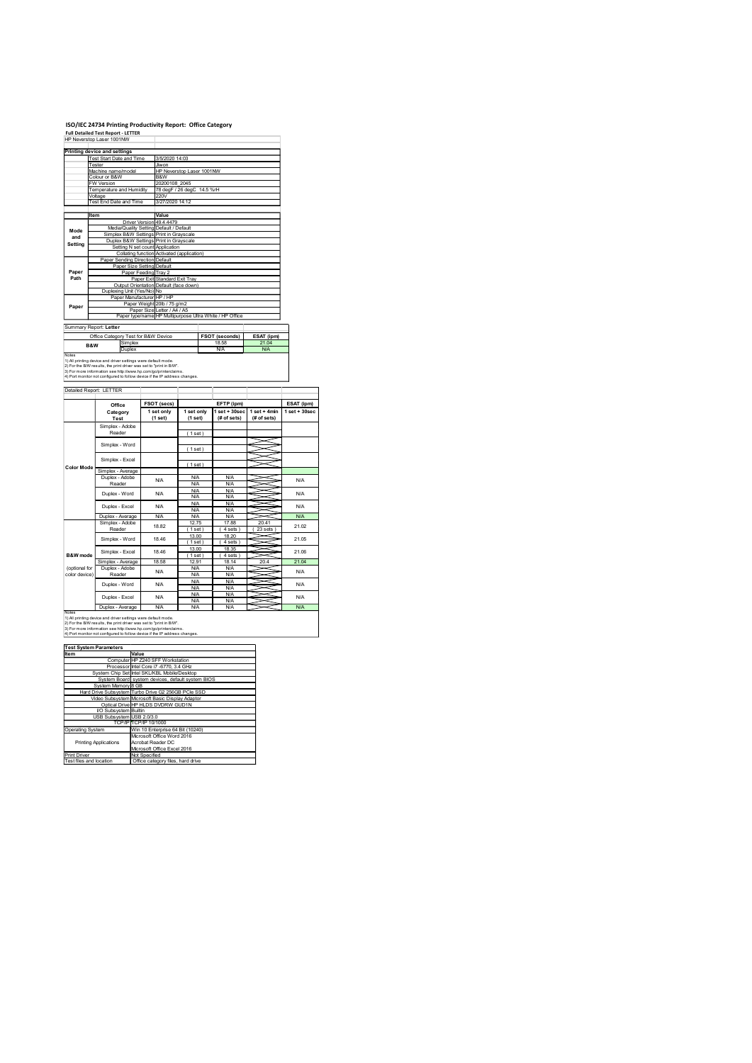## ISO/IEC 24734 Printing Productivity Report: Office Category<br>Full Detailed Test Report - LETTER<br>HP Neverstop Laser 1001NW

|                        | <b>Full Detailed Test Report - LETTER</b><br>HP Neverstop Laser 1001NW                                                                            | ISO/IEC 24734 Printing Productivity Report: Office Category                                                                  |                                                                              |                    |
|------------------------|---------------------------------------------------------------------------------------------------------------------------------------------------|------------------------------------------------------------------------------------------------------------------------------|------------------------------------------------------------------------------|--------------------|
|                        | Printing device and settings                                                                                                                      |                                                                                                                              |                                                                              |                    |
|                        | <b>Test Start Date and Time</b><br>Tester<br>Machine name/model                                                                                   | 3/5/2020 14:03<br>Jiwon<br>HP Neverstop Laser 1001NW                                                                         |                                                                              |                    |
|                        | Colour or B&W<br>FW Version<br>Temperature and Humidity                                                                                           | B&W<br>20200108 2045<br>78 degF / 26 degC 14.5 %rH                                                                           |                                                                              |                    |
|                        | Voltage<br>Test End Date and Time                                                                                                                 | 220V<br>3/27/2020 14:12                                                                                                      |                                                                              |                    |
|                        | Item                                                                                                                                              | Value<br>Driver Version 49.4.4479                                                                                            |                                                                              |                    |
| Mode<br>and<br>Setting |                                                                                                                                                   | Media/Quality Setting Default / Default<br>Simplex B&W Settings Print in Grayscale<br>Duplex B&W Settings Print in Grayscale |                                                                              |                    |
|                        | Paper Sending Direction Default                                                                                                                   | Setting N set count Application<br>Collating function Activated (application)                                                |                                                                              |                    |
| Paper<br>Path          | Paper Size Setting Default<br>Paper Feeding Tray 2                                                                                                | Paper Exit Standard Exit Tray                                                                                                |                                                                              |                    |
|                        |                                                                                                                                                   | Output Orientation Default (face down)                                                                                       |                                                                              |                    |
|                        | Duplexing Unit (Yes/No) No                                                                                                                        |                                                                                                                              |                                                                              |                    |
| Paper                  | Paper Manufacturer HP / HP                                                                                                                        | Paper Weight 20lb / 75 g/m2                                                                                                  |                                                                              |                    |
|                        | Summary Report: Letter                                                                                                                            | Paper Size Letter / A4 / A5<br>Paper type/name HP Multipurpose Ultra White / HP Office                                       |                                                                              |                    |
|                        | Office Category Test for B&W Device<br>Simplex<br>B&W<br>Duplex                                                                                   |                                                                                                                              | FSOT (seconds)<br>ESAT (ipm)<br>18.58<br>21.04<br><b>N/A</b><br>N/A          |                    |
| Notes                  | 1) All printing device and driver settings were default mode.<br>2) For the B/W results, the print driver was set to "print in B/W".              |                                                                                                                              |                                                                              |                    |
|                        | s).<br>The more information see http://www.hp.com/go/printerclaims.<br>4) Port monitor not configured to follow device if the IP address changes. |                                                                                                                              |                                                                              |                    |
|                        | Detailed Report: LETTER                                                                                                                           |                                                                                                                              |                                                                              |                    |
|                        | Office<br>Category<br><b>Test</b>                                                                                                                 | FSOT (secs)<br>1 set only<br>1 set only<br>(1 set)<br>(1 set)                                                                | EFTP (ipm)<br>$1 set + 30 sec$ $1 set + 4 min$<br>(# of sets)<br>(# of sets) | ESAT (ipm)         |
|                        | Simplex - Adobe<br>Reader                                                                                                                         | (1 set)                                                                                                                      |                                                                              | $1$ set + $30$ sec |
|                        | Simplex - Word                                                                                                                                    | (1 set)                                                                                                                      | ⋚<br>∽<br>$\asymp$                                                           |                    |
| Color Mode             | Simplex - Excel<br>Simplex - Average<br>Duplex - Adobe                                                                                            | (1 set)<br><b>N/A</b>                                                                                                        | $\prec$<br><b>N/A</b>                                                        |                    |

## Summary Report: Letter<br>Coffice Category Test for B&W Device BSOT (seconds) BSAT (pm)<br>B&W Simplex 18.58 21.04 Notes<br>1) All printing device and driver settings were default mode.<br>2) For the B/W results, the print driver was set to "print in B/W".<br>3) For more information see http://www.hp.com/go/printerclaims.

|                                         | Printing device and settings                                                                                                           |                                                                         |                          |                                                         |                          |                                                 |                 |
|-----------------------------------------|----------------------------------------------------------------------------------------------------------------------------------------|-------------------------------------------------------------------------|--------------------------|---------------------------------------------------------|--------------------------|-------------------------------------------------|-----------------|
|                                         | Test Start Date and Time<br>3/5/2020 14:03<br>Tester<br><b>Jiwon</b>                                                                   |                                                                         |                          |                                                         |                          |                                                 |                 |
|                                         | Machine name/model<br>Colour or B&W                                                                                                    | HP Neverstop Laser 1001NW<br>B&W                                        |                          |                                                         |                          |                                                 |                 |
|                                         | <b>W Version</b>                                                                                                                       | 20200108_2045<br>78 degF / 26 degC 14.5 %rH<br>Temperature and Humidity |                          |                                                         |                          |                                                 |                 |
|                                         | Voltage<br>Test End Date and Time                                                                                                      |                                                                         | 220V<br>3/27/2020 14:12  |                                                         |                          |                                                 |                 |
|                                         |                                                                                                                                        |                                                                         |                          |                                                         |                          |                                                 |                 |
|                                         | Item                                                                                                                                   | Driver Version 49.4.4479                                                | Value                    |                                                         |                          |                                                 |                 |
| Mode<br>and                             | Media/Quality Setting Default / Default<br>Simplex B&W Settings Print in Grayscale                                                     |                                                                         |                          |                                                         |                          |                                                 |                 |
| Setting                                 | Duplex B&W Settings Print in Grayscale                                                                                                 | Setting N set count Application                                         |                          |                                                         |                          |                                                 |                 |
|                                         | Paper Sending Direction Default                                                                                                        |                                                                         |                          | Collating function Activated (application)              |                          |                                                 |                 |
|                                         |                                                                                                                                        | Paper Size Setting Default                                              |                          |                                                         |                          |                                                 |                 |
| Paper<br>Path                           |                                                                                                                                        | Paper Feeding Tray 2<br>Paper Exit Standard Exit Tray                   |                          |                                                         |                          |                                                 |                 |
|                                         | Duplexing Unit (Yes/No) No                                                                                                             | Output Orientation Default (face down)                                  |                          |                                                         |                          |                                                 |                 |
|                                         |                                                                                                                                        | Paper Manufacturer HP / HP<br>Paper Weight 20lb / 75 g/m2               |                          |                                                         |                          |                                                 |                 |
| Paper                                   |                                                                                                                                        | Paper Size Letter / A4 / A5                                             |                          | Paper type/name HP Multipurpose Ultra White / HP Office |                          |                                                 |                 |
|                                         | Summary Report: Letter                                                                                                                 |                                                                         |                          |                                                         |                          |                                                 |                 |
|                                         | Office Category Test for B&W Device                                                                                                    |                                                                         |                          |                                                         | FSOT (seconds)           | ESAT (ipm)                                      |                 |
|                                         | Simplex<br>B&W                                                                                                                         |                                                                         |                          |                                                         | 18.58<br><b>N/A</b>      | 21.04<br><b>N/A</b>                             |                 |
| Notes                                   | Duplex<br>1) All printing device and driver settings were default mode.                                                                |                                                                         |                          |                                                         |                          |                                                 |                 |
|                                         | 2) For the B/W results, the print driver was set to "print in B/W".<br>3) For more information see http://www.hp.com/go/printerclaims. |                                                                         |                          |                                                         |                          |                                                 |                 |
|                                         | 4) Port monitor not configured to follow device if the IP address changes.                                                             |                                                                         |                          |                                                         |                          |                                                 |                 |
|                                         | Detailed Report: LETTER                                                                                                                |                                                                         |                          |                                                         |                          |                                                 |                 |
|                                         | Office                                                                                                                                 |                                                                         | FSOT (secs)              |                                                         | EFTP (ipm)               |                                                 | ESAT (ipm)      |
|                                         | Category                                                                                                                               |                                                                         | 1 set only<br>(1 set)    | 1 set only<br>(1 set)                                   | (# of sets)              | $1 set + 30 sec$ $1 set + 4 min$<br>(# of sets) | $1$ set + 30sec |
|                                         | Test<br>Simplex - Adobe                                                                                                                |                                                                         |                          |                                                         |                          |                                                 |                 |
|                                         | Reader                                                                                                                                 |                                                                         |                          | (1 set)                                                 |                          |                                                 |                 |
|                                         | Simplex - Word                                                                                                                         |                                                                         |                          | (1 set)                                                 |                          |                                                 |                 |
|                                         | Simplex - Excel                                                                                                                        |                                                                         |                          |                                                         |                          |                                                 |                 |
| <b>Color Mode</b>                       | Simplex - Average                                                                                                                      |                                                                         |                          | (1 set)                                                 |                          |                                                 |                 |
|                                         | Duplex - Adobe<br>Reader                                                                                                               |                                                                         | <b>N/A</b>               | <b>N/A</b><br><b>N/A</b>                                | <b>N/A</b><br>N/A        |                                                 | N/A             |
|                                         | Duplex - Word                                                                                                                          |                                                                         | <b>N/A</b>               | N/A                                                     | <b>N/A</b>               |                                                 | N/A             |
|                                         | Duplex - Excel                                                                                                                         |                                                                         | <b>N/A</b>               | N/A<br><b>N/A</b>                                       | N/A<br><b>N/A</b>        |                                                 | N/A             |
|                                         | Duplex - Average                                                                                                                       |                                                                         | <b>N/A</b>               | <b>N/A</b><br><b>N/A</b>                                | <b>N/A</b><br>N/A        |                                                 | N/A             |
|                                         | Simplex - Adobe                                                                                                                        |                                                                         | 18.82                    | 12.75<br>(1 set)                                        | 17.88<br>(4 sets)        | 20.41                                           | 21.02           |
|                                         | Reader<br>Simplex - Word                                                                                                               |                                                                         | 18.46                    | 13.00                                                   | 18.20                    | (23 sets)                                       | 21.05           |
|                                         | Simplex - Excel                                                                                                                        |                                                                         | 18.46                    | (1 set)<br>13.00                                        | (4 sets)<br>18.35        | $\breve{~}$                                     | 21.06           |
| B&W mode                                | Simplex - Average                                                                                                                      |                                                                         | 18.58                    | (1 set)<br>12.91                                        | (4 sets)<br>18.14        | 20.4                                            | 21.04           |
| (optional for                           | Duplex - Adobe                                                                                                                         |                                                                         | <b>N/A</b>               | N/A                                                     | <b>N/A</b>               |                                                 | N/A             |
| color device)                           | Reader<br>Duplex - Word                                                                                                                |                                                                         | <b>N/A</b>               | <b>N/A</b><br>N/A                                       | N/A<br>N/A               |                                                 | N/A             |
|                                         |                                                                                                                                        |                                                                         |                          | <b>N/A</b><br><b>N/A</b>                                | <b>N/A</b><br><b>N/A</b> |                                                 |                 |
|                                         | Duplex - Excel<br>Duplex - Average                                                                                                     |                                                                         | <b>N/A</b><br><b>N/A</b> | <b>N/A</b><br><b>N/A</b>                                | <b>N/A</b><br>N/A        |                                                 | N/A<br>N/A      |
| <b>Notes</b>                            | 1) All printing device and driver settings were default mode.                                                                          |                                                                         |                          |                                                         |                          |                                                 |                 |
|                                         | 2) For the B/W results, the print driver was set to "print in B/W".<br>3) For more information see http://www.hp.com/go/printerclaims  |                                                                         |                          |                                                         |                          |                                                 |                 |
|                                         | 4) Port monitor not configured to follow device if the IP address changes                                                              |                                                                         |                          |                                                         |                          |                                                 |                 |
|                                         | <b>Test System Parameters</b>                                                                                                          |                                                                         |                          |                                                         |                          |                                                 |                 |
| Item                                    | Computer HP Z240 SFF Workstation                                                                                                       | Value                                                                   |                          |                                                         |                          |                                                 |                 |
|                                         | Processor Intel Core i7 -6770, 3.4 GHz<br>System Chip Set Intel SKL/KBL Mobile/Desktop                                                 |                                                                         |                          |                                                         |                          |                                                 |                 |
|                                         | System Board system devices, default system BIOS                                                                                       |                                                                         |                          |                                                         |                          |                                                 |                 |
|                                         | System Memory 8 GB<br>Hard Drive Subsystem Turbo Drive G2 256GB PCle SSD                                                               |                                                                         |                          |                                                         |                          |                                                 |                 |
|                                         | Video Subsystem Microsoft Basic Display Adaptor<br>Optical Drive HP HLDS DVDRW GUD1N                                                   |                                                                         |                          |                                                         |                          |                                                 |                 |
|                                         | <b>I/O Subsystem Builtin</b>                                                                                                           |                                                                         |                          |                                                         |                          |                                                 |                 |
|                                         | USB Subsystem USB 2.0/3.0<br>TCP/IP TCP/IP 10/1000                                                                                     |                                                                         |                          |                                                         |                          |                                                 |                 |
| <b>Operating System</b>                 |                                                                                                                                        | Microsoft Office Word 2016                                              |                          | Win 10 Enterprise 64 Bit (10240)                        |                          |                                                 |                 |
|                                         | <b>Printing Applications</b>                                                                                                           | Acrobat Reader DC<br>Microsoft Office Excel 2016                        |                          |                                                         |                          |                                                 |                 |
| Print Driver<br>Test files and location |                                                                                                                                        | Not Specified                                                           |                          | Office category files, hard drive                       |                          |                                                 |                 |
|                                         |                                                                                                                                        |                                                                         |                          |                                                         |                          |                                                 |                 |
|                                         |                                                                                                                                        |                                                                         |                          |                                                         |                          |                                                 |                 |
|                                         |                                                                                                                                        |                                                                         |                          |                                                         |                          |                                                 |                 |
|                                         |                                                                                                                                        |                                                                         |                          |                                                         |                          |                                                 |                 |
|                                         |                                                                                                                                        |                                                                         |                          |                                                         |                          |                                                 |                 |
|                                         |                                                                                                                                        |                                                                         |                          |                                                         |                          |                                                 |                 |
|                                         |                                                                                                                                        |                                                                         |                          |                                                         |                          |                                                 |                 |
|                                         |                                                                                                                                        |                                                                         |                          |                                                         |                          |                                                 |                 |

| кет                          | value                                              |
|------------------------------|----------------------------------------------------|
|                              | Computer HP Z240 SFF Workstation                   |
|                              | Processor Intel Core i7 -6770, 3.4 GHz             |
|                              | System Chip Set Intel SKL/KBL Mobile/Desktop       |
|                              | System Board system devices, default system BIOS   |
| System Memory 8 GB           |                                                    |
|                              | Hard Drive Subsystem Turbo Drive G2 256GB PCle SSD |
|                              | Video Subsystem Microsoft Basic Display Adaptor    |
|                              | Optical Drive HP HLDS DVDRW GUD1N                  |
| I/O Subsystem Builtin        |                                                    |
| USB Subsystem USB 2.0/3.0    |                                                    |
|                              | TCP/IPITCP/IP 10/1000                              |
| <b>Operating System</b>      | Win 10 Enterprise 64 Bit (10240)                   |
|                              | Microsoft Office Word 2016                         |
| <b>Printing Applications</b> | Acrobat Reader DC                                  |
|                              | Microsoft Office Excel 2016                        |
| Print Driver                 | Not Specified                                      |
| Test files and location      | Office category files hard drive                   |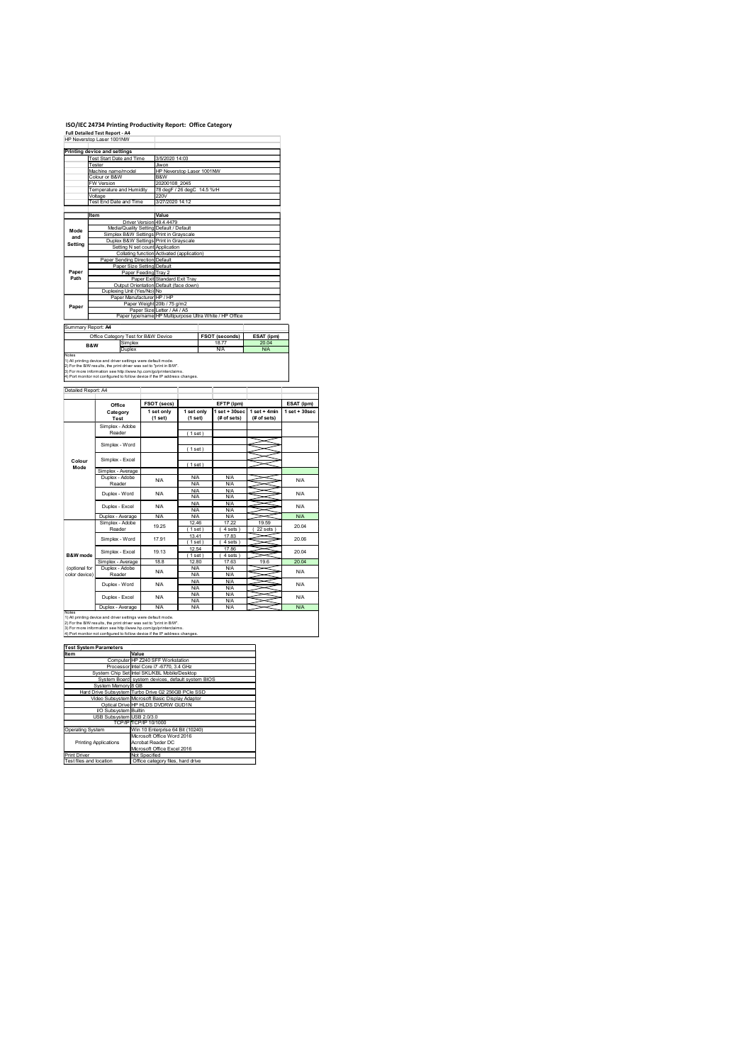## ISO/IEC 24734 Printing Productivity Report: Office Category<br>Full Detailed Test Report - A4<br>HP Neverstop Laser 1001NW

|                     | <b>Full Detailed Test Report - A4</b><br>HP Neverstop Laser 1001NW                                                                                | ISO/IEC 24734 Printing Productivity Report: Office Category                                                           |                                                |                     |                                  |
|---------------------|---------------------------------------------------------------------------------------------------------------------------------------------------|-----------------------------------------------------------------------------------------------------------------------|------------------------------------------------|---------------------|----------------------------------|
|                     | Printing device and settings                                                                                                                      |                                                                                                                       |                                                |                     |                                  |
|                     | <b>Test Start Date and Time</b><br>Tester<br>Machine name/model                                                                                   | 3/5/2020 14:03<br>Jiwon<br>HP Neverstop Laser 1001NW                                                                  |                                                |                     |                                  |
|                     | Colour or B&W<br>FW Version<br>Temperature and Humidity                                                                                           | B&W<br>20200108 2045<br>78 degF / 26 degC 14.5 %rH                                                                    |                                                |                     |                                  |
|                     | Voltage<br>Test End Date and Time                                                                                                                 | 220V<br>3/27/2020 14:12                                                                                               |                                                |                     |                                  |
|                     | Item                                                                                                                                              | Value<br>Driver Version 49.4.4479<br>Media/Quality Setting Default / Default                                          |                                                |                     |                                  |
| Mode<br>and         |                                                                                                                                                   |                                                                                                                       |                                                |                     |                                  |
| Setting             |                                                                                                                                                   | Simplex B&W Settings Print in Grayscale<br>Duplex B&W Settings Print in Grayscale                                     |                                                |                     |                                  |
|                     | Paper Sending Direction Default                                                                                                                   | Setting N set count Application<br>Collating function Activated (application)                                         |                                                |                     |                                  |
| Paper<br>Path       | Paper Size Setting Default<br>Paper Feeding Tray 2                                                                                                | Paper Exit Standard Exit Tray                                                                                         |                                                |                     |                                  |
|                     | Duplexing Unit (Yes/No) No<br>Paper Manufacturer HP / HP                                                                                          | Output Orientation Default (face down)                                                                                |                                                |                     |                                  |
| Paper               |                                                                                                                                                   | Paper Weight 20lb / 75 g/m2<br>Paper Size Letter / A4 / A5<br>Paper type/name HP Multipurpose Ultra White / HP Office |                                                |                     |                                  |
|                     | Summary Report: A4<br>Office Category Test for B&W Device                                                                                         | FSOT (seconds)                                                                                                        |                                                | ESAT (ipm)          |                                  |
| Notes               | Simplex<br>B&W<br><b>Duplex</b>                                                                                                                   | 18.77<br><b>N/A</b>                                                                                                   |                                                | 20.04<br><b>N/A</b> |                                  |
|                     | 1) All printing device and driver settings were default mode.<br>2) For the B/W results, the print driver was set to "print in B/W".              |                                                                                                                       |                                                |                     |                                  |
| Detailed Report: A4 | s).<br>The more information see http://www.hp.com/go/printerclaims.<br>4) Port monitor not configured to follow device if the IP address changes. |                                                                                                                       |                                                |                     |                                  |
|                     | Office<br>Category                                                                                                                                | FSOT (secs)<br>1 set only<br>1 set only                                                                               | EFTP (ipm)<br>$1 set + 30 sec$ $1 set + 4 min$ |                     | ESAT (ipm)<br>$1$ set + $30$ sec |
|                     | <b>Test</b><br>Simplex - Adobe<br>Reader                                                                                                          | (1 set)<br>(1 set)                                                                                                    | (# of sets)                                    | (# of sets)         |                                  |
|                     | Simplex - Word                                                                                                                                    | (1 set)<br>(1 set)                                                                                                    |                                                | $\prec$<br>⇒<br>∽   |                                  |
| Colour<br>Mode      | Simplex - Excel<br>Simplex - Average                                                                                                              | (1 set)                                                                                                               |                                                | $\asymp$<br>$\prec$ |                                  |

# Notes<br>1) All printing device and driver settings were default mode.<br>2) For the B/W results, the print driver was set to "print in B/W".<br>3) For more information see http://www.hp.com/go/printerclaims.

|                         | Printing device and settings                                                                                                                                                                                         |                                                                                    |                 |                           |                                                         |                     |                                  |
|-------------------------|----------------------------------------------------------------------------------------------------------------------------------------------------------------------------------------------------------------------|------------------------------------------------------------------------------------|-----------------|---------------------------|---------------------------------------------------------|---------------------|----------------------------------|
|                         | Test Start Date and Time<br>3/5/2020 14:03<br>Tester<br><b>Jiwon</b>                                                                                                                                                 |                                                                                    |                 |                           |                                                         |                     |                                  |
|                         | Machine name/model<br>Colour or B&W                                                                                                                                                                                  | B&W                                                                                |                 | HP Neverstop Laser 1001NW |                                                         |                     |                                  |
|                         | <b>W Version</b><br>Temperature and Humidity                                                                                                                                                                         | 20200108_2045<br>78 degF / 26 degC 14.5 %rH                                        |                 |                           |                                                         |                     |                                  |
|                         | Voltage<br>Test End Date and Time                                                                                                                                                                                    | 220V                                                                               | 3/27/2020 14:12 |                           |                                                         |                     |                                  |
|                         |                                                                                                                                                                                                                      |                                                                                    |                 |                           |                                                         |                     |                                  |
|                         | Item                                                                                                                                                                                                                 | Value<br>Driver Version 49.4.4479                                                  |                 |                           |                                                         |                     |                                  |
| Mode<br>and             |                                                                                                                                                                                                                      | Media/Quality Setting Default / Default<br>Simplex B&W Settings Print in Grayscale |                 |                           |                                                         |                     |                                  |
| Setting                 |                                                                                                                                                                                                                      | Duplex B&W Settings Print in Grayscale<br>Setting N set count Application          |                 |                           |                                                         |                     |                                  |
|                         | Paper Sending Direction Default                                                                                                                                                                                      | Collating function Activated (application)                                         |                 |                           |                                                         |                     |                                  |
| Paper                   |                                                                                                                                                                                                                      | Paper Size Setting Default<br>Paper Feeding Tray 2                                 |                 |                           |                                                         |                     |                                  |
| Path                    |                                                                                                                                                                                                                      | Paper Exit Standard Exit Tray                                                      |                 |                           |                                                         |                     |                                  |
|                         | Duplexing Unit (Yes/No) No                                                                                                                                                                                           | Output Orientation Default (face down)                                             |                 |                           |                                                         |                     |                                  |
| Paper                   |                                                                                                                                                                                                                      | Paper Manufacturer HP / HP<br>Paper Weight 20lb / 75 g/m2                          |                 |                           |                                                         |                     |                                  |
|                         |                                                                                                                                                                                                                      | Paper Size Letter / A4 / A5                                                        |                 |                           | Paper type/name HP Multipurpose Ultra White / HP Office |                     |                                  |
| Summary Report: A4      |                                                                                                                                                                                                                      |                                                                                    |                 |                           |                                                         |                     |                                  |
|                         | Office Category Test for B&W Device<br>Simplex                                                                                                                                                                       |                                                                                    |                 |                           | FSOT (seconds)<br>18.77                                 | ESAT (ipm)<br>20.04 |                                  |
| Notes                   | B&W<br>Duplex                                                                                                                                                                                                        |                                                                                    |                 |                           | <b>N/A</b>                                              | <b>N/A</b>          |                                  |
|                         | 1) All printing device and driver settings were default mode.<br>2) For the B/W results, the print driver was set to "print in B/W".                                                                                 |                                                                                    |                 |                           |                                                         |                     |                                  |
|                         | 3) For more information see http://www.hp.com/go/printerclaims.<br>4) Port monitor not configured to follow device if the IP address changes.                                                                        |                                                                                    |                 |                           |                                                         |                     |                                  |
| Detailed Report: A4     |                                                                                                                                                                                                                      |                                                                                    |                 |                           |                                                         |                     |                                  |
|                         |                                                                                                                                                                                                                      |                                                                                    |                 |                           |                                                         |                     |                                  |
|                         | Office<br>Category                                                                                                                                                                                                   | FSOT (secs)<br>1 set only                                                          |                 | 1 set only                | EFTP (ipm)<br>$1$ set + $30$ sec                        | $1$ set + 4 $min$   | ESAT (ipm)<br>$1$ set + $30$ sec |
|                         | Test                                                                                                                                                                                                                 | (1 set)                                                                            |                 | (1 set)                   | (# of sets)                                             | (# of sets)         |                                  |
|                         | Simplex - Adobe<br>Reader                                                                                                                                                                                            |                                                                                    |                 | (1 set)                   |                                                         |                     |                                  |
|                         | Simplex - Word                                                                                                                                                                                                       |                                                                                    |                 | (1 set)                   |                                                         |                     |                                  |
| Colour                  | Simplex - Excel                                                                                                                                                                                                      |                                                                                    |                 |                           |                                                         |                     |                                  |
| Mode                    | Simplex - Average                                                                                                                                                                                                    |                                                                                    |                 | (1 set)                   |                                                         |                     |                                  |
|                         | Duplex - Adobe                                                                                                                                                                                                       | <b>N/A</b>                                                                         |                 | <b>N/A</b><br><b>N/A</b>  | N/A<br>N/A                                              | ⇒                   | N/A                              |
|                         | Reader<br>Duplex - Word                                                                                                                                                                                              | <b>N/A</b>                                                                         |                 | N/A                       | <b>N/A</b>                                              |                     | N/A                              |
|                         |                                                                                                                                                                                                                      |                                                                                    |                 | N/A<br><b>N/A</b>         | N/A<br><b>N/A</b>                                       |                     |                                  |
|                         | Duplex - Excel<br>Duplex - Average                                                                                                                                                                                   | <b>N/A</b><br><b>N/A</b>                                                           |                 | <b>N/A</b><br><b>N/A</b>  | <b>N/A</b><br>N/A                                       |                     | N/A<br><b>N/A</b>                |
|                         | Simplex - Adobe                                                                                                                                                                                                      | 19.25                                                                              |                 | 12.46                     | 17.22                                                   | 19.59               | 20.04                            |
|                         | Reader<br>Simplex - Word                                                                                                                                                                                             | 17.91                                                                              |                 | (1 set)<br>13.41          | (4 sets)<br>17.83                                       | (22 sets)           | 20.06                            |
|                         |                                                                                                                                                                                                                      | 19.13                                                                              |                 | (1 set)<br>12.54          | (4 sets)<br>17.86                                       | $\mathord{\sim}$    | 20.04                            |
| B&W mode                | Simplex - Excel<br>Simplex - Average                                                                                                                                                                                 | 18.8                                                                               |                 | (1 set)<br>12.80          | (4 sets)<br>17.63                                       | 19.6                | 20.04                            |
| (optional for           | Duplex - Adobe                                                                                                                                                                                                       | <b>N/A</b>                                                                         |                 | N/A                       | N/A                                                     |                     | N/A                              |
| color device)           | Reader<br>Duplex - Word                                                                                                                                                                                              | <b>N/A</b>                                                                         |                 | <b>N/A</b><br>N/A         | N/A<br>N/A                                              |                     | N/A                              |
|                         |                                                                                                                                                                                                                      | <b>N/A</b>                                                                         |                 | <b>N/A</b><br><b>N/A</b>  | <b>N/A</b><br>N/A                                       |                     | N/A                              |
|                         | Duplex - Excel<br>Duplex - Average                                                                                                                                                                                   | <b>N/A</b>                                                                         |                 | <b>N/A</b><br><b>N/A</b>  | <b>N/A</b><br>N/A                                       |                     | N/A                              |
| Notes                   | 1) All printing device and driver settings were default mode.                                                                                                                                                        |                                                                                    |                 |                           |                                                         |                     |                                  |
|                         | 2) For the B/W results, the print driver was set to "print in B/W".<br>3) For more information see http://www.hp.com/go/printerclaims.<br>4) Port monitor not configured to follow device if the IP address changes. |                                                                                    |                 |                           |                                                         |                     |                                  |
|                         | <b>Test System Parameters</b>                                                                                                                                                                                        | Value                                                                              |                 |                           |                                                         |                     |                                  |
| Item                    |                                                                                                                                                                                                                      | Computer HP Z240 SFF Workstation                                                   |                 |                           |                                                         |                     |                                  |
|                         | System Chip Set Intel SKL/KBL Mobile/Desktop                                                                                                                                                                         | Processor Intel Core i7 -6770, 3.4 GHz                                             |                 |                           |                                                         |                     |                                  |
|                         | System Board system devices, default system BIOS<br>System Memory 8 GB                                                                                                                                               |                                                                                    |                 |                           |                                                         |                     |                                  |
|                         | Hard Drive Subsystem Turbo Drive G2 256GB PCle SSD<br>Video Subsystem Microsoft Basic Display Adaptor                                                                                                                |                                                                                    |                 |                           |                                                         |                     |                                  |
|                         | Optical Drive HP HLDS DVDRW GUD1N<br><b>I/O Subsystem Builtin</b>                                                                                                                                                    |                                                                                    |                 |                           |                                                         |                     |                                  |
|                         | USB Subsystem USB 2.0/3.0<br>TCP/IP TCP/IP 10/1000                                                                                                                                                                   |                                                                                    |                 |                           |                                                         |                     |                                  |
| <b>Operating System</b> |                                                                                                                                                                                                                      | Win 10 Enterprise 64 Bit (10240)                                                   |                 |                           |                                                         |                     |                                  |
|                         | <b>Printing Applications</b>                                                                                                                                                                                         | Microsoft Office Word 2016<br>Acrobat Reader DC                                    |                 |                           |                                                         |                     |                                  |
| Print Driver            |                                                                                                                                                                                                                      | Microsoft Office Excel 2016<br>Not Specified                                       |                 |                           |                                                         |                     |                                  |
| Test files and location |                                                                                                                                                                                                                      | Office category files, hard drive                                                  |                 |                           |                                                         |                     |                                  |
|                         |                                                                                                                                                                                                                      |                                                                                    |                 |                           |                                                         |                     |                                  |
|                         |                                                                                                                                                                                                                      |                                                                                    |                 |                           |                                                         |                     |                                  |
|                         |                                                                                                                                                                                                                      |                                                                                    |                 |                           |                                                         |                     |                                  |
|                         |                                                                                                                                                                                                                      |                                                                                    |                 |                           |                                                         |                     |                                  |
|                         |                                                                                                                                                                                                                      |                                                                                    |                 |                           |                                                         |                     |                                  |
|                         |                                                                                                                                                                                                                      |                                                                                    |                 |                           |                                                         |                     |                                  |

| ,,,,,,                       | value                                              |
|------------------------------|----------------------------------------------------|
|                              | Computer HP Z240 SFF Workstation                   |
|                              | Processor Intel Core i7 -6770, 3.4 GHz             |
|                              | System Chip Set Intel SKL/KBL Mobile/Desktop       |
|                              | System Board system devices, default system BIOS   |
| System Memory 8 GB           |                                                    |
|                              | Hard Drive Subsystem Turbo Drive G2 256GB PCle SSD |
|                              | Video Subsystem Microsoft Basic Display Adaptor    |
|                              | Optical Drive HP HLDS DVDRW GUD1N                  |
| I/O Subsystem Builtin        |                                                    |
| USB Subsystem USB 2.0/3.0    |                                                    |
|                              | TCP/IPITCP/IP 10/1000                              |
| Operating System             | Win 10 Enterprise 64 Bit (10240)                   |
|                              | Microsoft Office Word 2016                         |
| <b>Printing Applications</b> | Acrobat Reader DC                                  |
|                              | Microsoft Office Excel 2016                        |
| Print Driver                 | Not Specified                                      |
| Test files and location      | Office category files, hard drive                  |